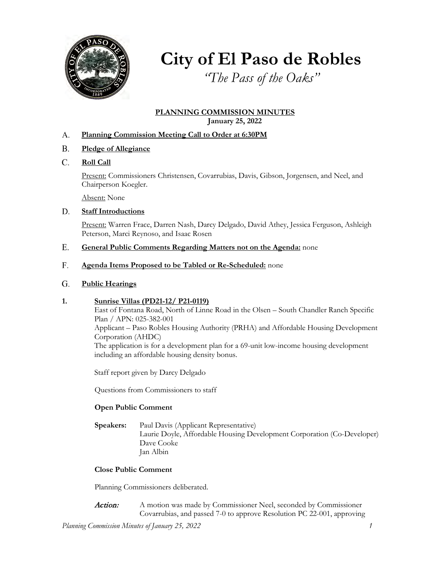

# **City of El Paso de Robles**

*"The Pass of the Oaks"*

## **PLANNING COMMISSION MINUTES January 25, 2022**

#### **Planning Commission Meeting Call to Order at 6:30PM** A.

- **Pledge of Allegiance** B.
- **Roll Call** C.

Present: Commissioners Christensen, Covarrubias, Davis, Gibson, Jorgensen, and Neel, and Chairperson Koegler.

Absent: None

#### **Staff Introductions** D.

Present: Warren Frace, Darren Nash, Darcy Delgado, David Athey, Jessica Ferguson, Ashleigh Peterson, Marci Reynoso, and Isaac Rosen

#### **General Public Comments Regarding Matters not on the Agenda:** none E.

**Agenda Items Proposed to be Tabled or Re-Scheduled:** none F.

#### **Public Hearings**  G.

## **1. Sunrise Villas (PD21-12/ P21-0119)**

East of Fontana Road, North of Linne Road in the Olsen – South Chandler Ranch Specific Plan / APN: 025-382-001 Applicant – Paso Robles Housing Authority (PRHA) and Affordable Housing Development Corporation (AHDC) The application is for a development plan for a 69-unit low-income housing development including an affordable housing density bonus.

Staff report given by Darcy Delgado

Questions from Commissioners to staff

## **Open Public Comment**

**Speakers:** Paul Davis (Applicant Representative) Laurie Doyle, Affordable Housing Development Corporation (Co-Developer) Dave Cooke Jan Albin

## **Close Public Comment**

Planning Commissioners deliberated.

Action: A motion was made by Commissioner Neel, seconded by Commissioner Covarrubias, and passed 7-0 to approve Resolution PC 22-001, approving

*Planning Commission Minutes of January 25, 2022 1*